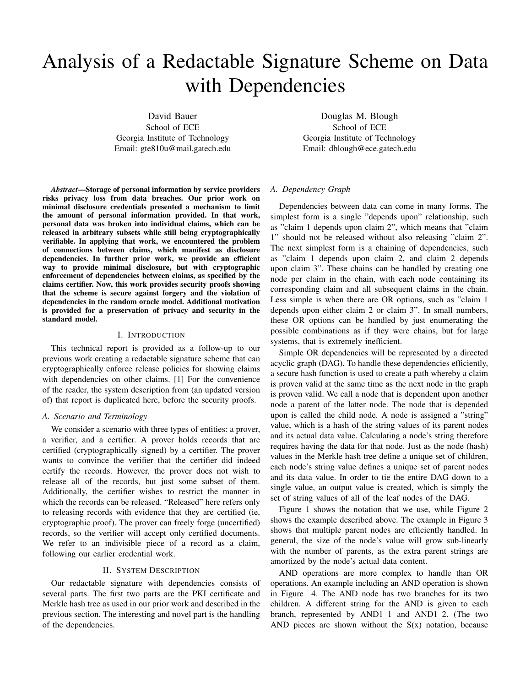# Analysis of a Redactable Signature Scheme on Data with Dependencies

David Bauer School of ECE Georgia Institute of Technology Email: gte810u@mail.gatech.edu

Douglas M. Blough School of ECE Georgia Institute of Technology Email: dblough@ece.gatech.edu

*Abstract*—Storage of personal information by service providers risks privacy loss from data breaches. Our prior work on minimal disclosure credentials presented a mechanism to limit the amount of personal information provided. In that work, personal data was broken into individual claims, which can be released in arbitrary subsets while still being cryptographically verifiable. In applying that work, we encountered the problem of connections between claims, which manifest as disclosure dependencies. In further prior work, we provide an efficient way to provide minimal disclosure, but with cryptographic enforcement of dependencies between claims, as specified by the claims certifier. Now, this work provides security proofs showing that the scheme is secure against forgery and the violation of dependencies in the random oracle model. Additional motivation is provided for a preservation of privacy and security in the standard model.

### I. INTRODUCTION

This technical report is provided as a follow-up to our previous work creating a redactable signature scheme that can cryptographically enforce release policies for showing claims with dependencies on other claims. [1] For the convenience of the reader, the system description from (an updated version of) that report is duplicated here, before the security proofs.

#### *A. Scenario and Terminology*

We consider a scenario with three types of entities: a prover, a verifier, and a certifier. A prover holds records that are certified (cryptographically signed) by a certifier. The prover wants to convince the verifier that the certifier did indeed certify the records. However, the prover does not wish to release all of the records, but just some subset of them. Additionally, the certifier wishes to restrict the manner in which the records can be released. "Released" here refers only to releasing records with evidence that they are certified (ie, cryptographic proof). The prover can freely forge (uncertified) records, so the verifier will accept only certified documents. We refer to an indivisible piece of a record as a claim, following our earlier credential work.

#### II. SYSTEM DESCRIPTION

Our redactable signature with dependencies consists of several parts. The first two parts are the PKI certificate and Merkle hash tree as used in our prior work and described in the previous section. The interesting and novel part is the handling of the dependencies.

# *A. Dependency Graph*

Dependencies between data can come in many forms. The simplest form is a single "depends upon" relationship, such as "claim 1 depends upon claim 2", which means that "claim 1" should not be released without also releasing "claim 2". The next simplest form is a chaining of dependencies, such as "claim 1 depends upon claim 2, and claim 2 depends upon claim 3". These chains can be handled by creating one node per claim in the chain, with each node containing its corresponding claim and all subsequent claims in the chain. Less simple is when there are OR options, such as "claim 1 depends upon either claim 2 or claim 3". In small numbers, these OR options can be handled by just enumerating the possible combinations as if they were chains, but for large systems, that is extremely inefficient.

Simple OR dependencies will be represented by a directed acyclic graph (DAG). To handle these dependencies efficiently, a secure hash function is used to create a path whereby a claim is proven valid at the same time as the next node in the graph is proven valid. We call a node that is dependent upon another node a parent of the latter node. The node that is depended upon is called the child node. A node is assigned a "string" value, which is a hash of the string values of its parent nodes and its actual data value. Calculating a node's string therefore requires having the data for that node. Just as the node (hash) values in the Merkle hash tree define a unique set of children, each node's string value defines a unique set of parent nodes and its data value. In order to tie the entire DAG down to a single value, an output value is created, which is simply the set of string values of all of the leaf nodes of the DAG.

Figure 1 shows the notation that we use, while Figure 2 shows the example described above. The example in Figure 3 shows that multiple parent nodes are efficiently handled. In general, the size of the node's value will grow sub-linearly with the number of parents, as the extra parent strings are amortized by the node's actual data content.

AND operations are more complex to handle than OR operations. An example including an AND operation is shown in Figure 4. The AND node has two branches for its two children. A different string for the AND is given to each branch, represented by AND1\_1 and AND1\_2. (The two AND pieces are shown without the  $S(x)$  notation, because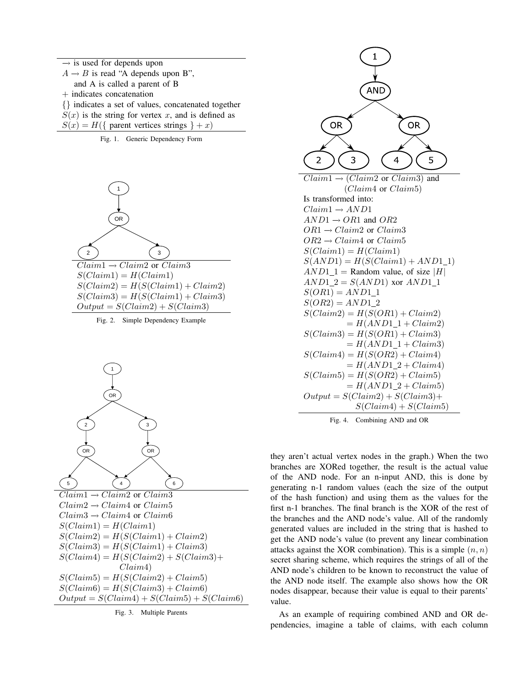







Fig. 2. Simple Dependency Example



Fig. 3. Multiple Parents



Fig. 4. Combining AND and OR

they aren't actual vertex nodes in the graph.) When the two branches are XORed together, the result is the actual value of the AND node. For an n-input AND, this is done by generating n-1 random values (each the size of the output of the hash function) and using them as the values for the first n-1 branches. The final branch is the XOR of the rest of the branches and the AND node's value. All of the randomly generated values are included in the string that is hashed to get the AND node's value (to prevent any linear combination attacks against the XOR combination). This is a simple  $(n, n)$ secret sharing scheme, which requires the strings of all of the AND node's children to be known to reconstruct the value of the AND node itself. The example also shows how the OR nodes disappear, because their value is equal to their parents' value.

As an example of requiring combined AND and OR dependencies, imagine a table of claims, with each column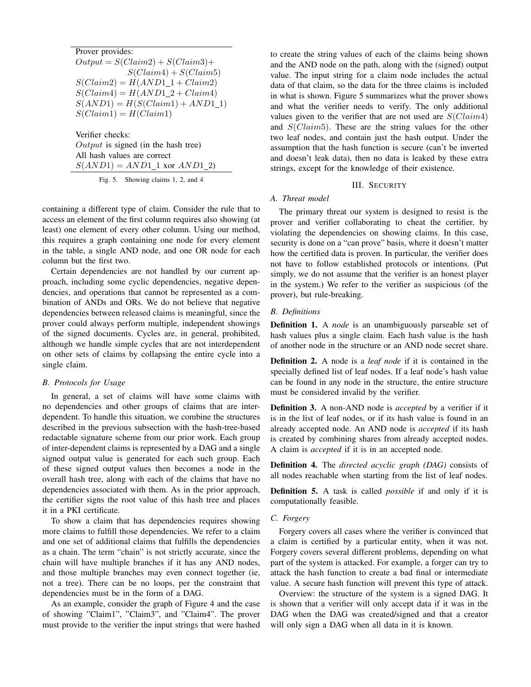Prover provides:  $Output = S(Claim2) + S(Claim3) +$  $S(Claim4) + S(Claim5)$  $S(Claim2) = H(AND1_1 + Claim2)$  $S(Claim4) = H(AND1_2 + Claim4)$  $S(AND1) = H(S(Claim1) + AND1_1)$  $S(Claim1) = H(Claim1)$ 

Verifier checks:  $Output$  is signed (in the hash tree) All hash values are correct  $S(AND1) = AND1_1 \text{ xor } AND1_2$ 

Fig. 5. Showing claims 1, 2, and 4

containing a different type of claim. Consider the rule that to access an element of the first column requires also showing (at least) one element of every other column. Using our method, this requires a graph containing one node for every element in the table, a single AND node, and one OR node for each column but the first two.

Certain dependencies are not handled by our current approach, including some cyclic dependencies, negative dependencies, and operations that cannot be represented as a combination of ANDs and ORs. We do not believe that negative dependencies between released claims is meaningful, since the prover could always perform multiple, independent showings of the signed documents. Cycles are, in general, prohibited, although we handle simple cycles that are not interdependent on other sets of claims by collapsing the entire cycle into a single claim.

#### *B. Protocols for Usage*

In general, a set of claims will have some claims with no dependencies and other groups of claims that are interdependent. To handle this situation, we combine the structures described in the previous subsection with the hash-tree-based redactable signature scheme from our prior work. Each group of inter-dependent claims is represented by a DAG and a single signed output value is generated for each such group. Each of these signed output values then becomes a node in the overall hash tree, along with each of the claims that have no dependencies associated with them. As in the prior approach, the certifier signs the root value of this hash tree and places it in a PKI certificate.

To show a claim that has dependencies requires showing more claims to fulfill those dependencies. We refer to a claim and one set of additional claims that fulfills the dependencies as a chain. The term "chain" is not strictly accurate, since the chain will have multiple branches if it has any AND nodes, and those multiple branches may even connect together (ie, not a tree). There can be no loops, per the constraint that dependencies must be in the form of a DAG.

As an example, consider the graph of Figure 4 and the case of showing "Claim1", "Claim3", and "Claim4". The prover must provide to the verifier the input strings that were hashed to create the string values of each of the claims being shown and the AND node on the path, along with the (signed) output value. The input string for a claim node includes the actual data of that claim, so the data for the three claims is included in what is shown. Figure 5 summarizes what the prover shows and what the verifier needs to verify. The only additional values given to the verifier that are not used are  $S(Claim4)$ and S(Claim5). These are the string values for the other two leaf nodes, and contain just the hash output. Under the assumption that the hash function is secure (can't be inverted and doesn't leak data), then no data is leaked by these extra strings, except for the knowledge of their existence.

#### III. SECURITY

# *A. Threat model*

The primary threat our system is designed to resist is the prover and verifier collaborating to cheat the certifier, by violating the dependencies on showing claims. In this case, security is done on a "can prove" basis, where it doesn't matter how the certified data is proven. In particular, the verifier does not have to follow established protocols or intentions. (Put simply, we do not assume that the verifier is an honest player in the system.) We refer to the verifier as suspicious (of the prover), but rule-breaking.

#### *B. Definitions*

Definition 1. A *node* is an unambiguously parseable set of hash values plus a single claim. Each hash value is the hash of another node in the structure or an AND node secret share.

Definition 2. A node is a *leaf node* if it is contained in the specially defined list of leaf nodes. If a leaf node's hash value can be found in any node in the structure, the entire structure must be considered invalid by the verifier.

Definition 3. A non-AND node is *accepted* by a verifier if it is in the list of leaf nodes, or if its hash value is found in an already accepted node. An AND node is *accepted* if its hash is created by combining shares from already accepted nodes. A claim is *accepted* if it is in an accepted node.

Definition 4. The *directed acyclic graph (DAG)* consists of all nodes reachable when starting from the list of leaf nodes.

Definition 5. A task is called *possible* if and only if it is computationally feasible.

#### *C. Forgery*

Forgery covers all cases where the verifier is convinced that a claim is certified by a particular entity, when it was not. Forgery covers several different problems, depending on what part of the system is attacked. For example, a forger can try to attack the hash function to create a bad final or intermediate value. A secure hash function will prevent this type of attack.

Overview: the structure of the system is a signed DAG. It is shown that a verifier will only accept data if it was in the DAG when the DAG was created/signed and that a creator will only sign a DAG when all data in it is known.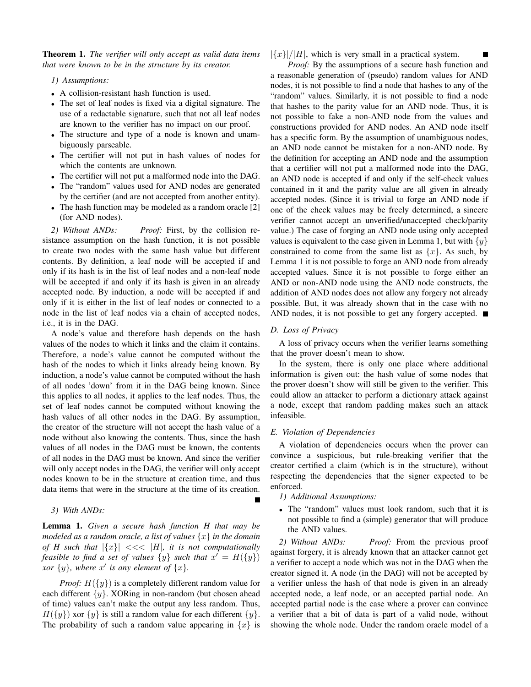Theorem 1. *The verifier will only accept as valid data items that were known to be in the structure by its creator.*

# *1) Assumptions:*

- A collision-resistant hash function is used.
- The set of leaf nodes is fixed via a digital signature. The use of a redactable signature, such that not all leaf nodes are known to the verifier has no impact on our proof.
- The structure and type of a node is known and unambiguously parseable.
- The certifier will not put in hash values of nodes for which the contents are unknown.
- The certifier will not put a malformed node into the DAG.
- The "random" values used for AND nodes are generated by the certifier (and are not accepted from another entity).
- The hash function may be modeled as a random oracle [2] (for AND nodes).

*2) Without ANDs: Proof:* First, by the collision resistance assumption on the hash function, it is not possible to create two nodes with the same hash value but different contents. By definition, a leaf node will be accepted if and only if its hash is in the list of leaf nodes and a non-leaf node will be accepted if and only if its hash is given in an already accepted node. By induction, a node will be accepted if and only if it is either in the list of leaf nodes or connected to a node in the list of leaf nodes via a chain of accepted nodes, i.e., it is in the DAG.

A node's value and therefore hash depends on the hash values of the nodes to which it links and the claim it contains. Therefore, a node's value cannot be computed without the hash of the nodes to which it links already being known. By induction, a node's value cannot be computed without the hash of all nodes 'down' from it in the DAG being known. Since this applies to all nodes, it applies to the leaf nodes. Thus, the set of leaf nodes cannot be computed without knowing the hash values of all other nodes in the DAG. By assumption, the creator of the structure will not accept the hash value of a node without also knowing the contents. Thus, since the hash values of all nodes in the DAG must be known, the contents of all nodes in the DAG must be known. And since the verifier will only accept nodes in the DAG, the verifier will only accept nodes known to be in the structure at creation time, and thus data items that were in the structure at the time of its creation.

#### *3) With ANDs:*

Lemma 1. *Given a secure hash function H that may be modeled as a random oracle, a list of values* {x} *in the domain of H such that*  $|\{x\}| \ll \ll |H|$ *, it is not computationally feasible to find a set of values*  $\{y\}$  *such that*  $x' = H(\{y\})$ *xor*  $\{y\}$ *, where*  $x'$  *is any element of*  $\{x\}$ *.* 

*Proof:*  $H({y})$  is a completely different random value for each different  $\{y\}$ . XORing in non-random (but chosen ahead of time) values can't make the output any less random. Thus,  $H({y})$  xor  ${y}$  is still a random value for each different  ${y}$ . The probability of such a random value appearing in  $\{x\}$  is  $|\{x\}|/|H|$ , which is very small in a practical system.

*Proof:* By the assumptions of a secure hash function and a reasonable generation of (pseudo) random values for AND nodes, it is not possible to find a node that hashes to any of the "random" values. Similarly, it is not possible to find a node that hashes to the parity value for an AND node. Thus, it is not possible to fake a non-AND node from the values and constructions provided for AND nodes. An AND node itself has a specific form. By the assumption of unambiguous nodes, an AND node cannot be mistaken for a non-AND node. By the definition for accepting an AND node and the assumption that a certifier will not put a malformed node into the DAG, an AND node is accepted if and only if the self-check values contained in it and the parity value are all given in already accepted nodes. (Since it is trivial to forge an AND node if one of the check values may be freely determined, a sincere verifier cannot accept an unverified/unaccepted check/parity value.) The case of forging an AND node using only accepted values is equivalent to the case given in Lemma 1, but with  $\{y\}$ constrained to come from the same list as  $\{x\}$ . As such, by Lemma 1 it is not possible to forge an AND node from already accepted values. Since it is not possible to forge either an AND or non-AND node using the AND node constructs, the addition of AND nodes does not allow any forgery not already possible. But, it was already shown that in the case with no AND nodes, it is not possible to get any forgery accepted.  $\blacksquare$ 

#### *D. Loss of Privacy*

A loss of privacy occurs when the verifier learns something that the prover doesn't mean to show.

In the system, there is only one place where additional information is given out: the hash value of some nodes that the prover doesn't show will still be given to the verifier. This could allow an attacker to perform a dictionary attack against a node, except that random padding makes such an attack infeasible.

#### *E. Violation of Dependencies*

A violation of dependencies occurs when the prover can convince a suspicious, but rule-breaking verifier that the creator certified a claim (which is in the structure), without respecting the dependencies that the signer expected to be enforced.

- *1) Additional Assumptions:*
- The "random" values must look random, such that it is not possible to find a (simple) generator that will produce the AND values.

*2) Without ANDs: Proof:* From the previous proof against forgery, it is already known that an attacker cannot get a verifier to accept a node which was not in the DAG when the creator signed it. A node (in the DAG) will not be accepted by a verifier unless the hash of that node is given in an already accepted node, a leaf node, or an accepted partial node. An accepted partial node is the case where a prover can convince a verifier that a bit of data is part of a valid node, without showing the whole node. Under the random oracle model of a